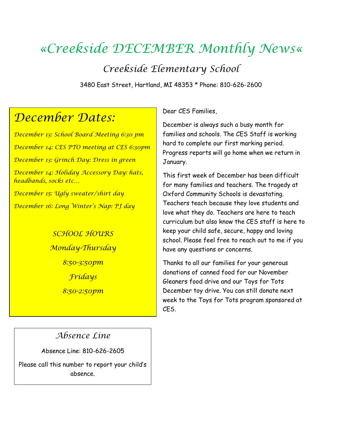# *«Creekside DECEMBER Monthly News«*

*Creekside Elementary School*

3480 East Street, Hartland, MI 48353 \* Phone: 810-626-2600

# *December Dates:*

*December 13: School Board Meeting 6:30 pm December 14: CES PTO meeting at CES 6:30pm December 13: Grinch Day: Dress in green December 14: Holiday Accessory Day: hats, headbands, socks etc… December 15: Ugly sweater/shirt day December 16: Long Winter's Nap: PJ day*

> *SCHOOL HOURS Monday-Thursday 8:50-3:50pm Fridays 8:50-2:50pm*

Dear CES Families,

December is always such a busy month for families and schools. The CES Staff is working hard to complete our first marking period. Progress reports will go home when we return in January.

This first week of December has been difficult for many families and teachers. The tragedy at Oxford Community Schools is devastating. Teachers teach because they love students and love what they do. Teachers are here to teach curriculum but also know the CES staff is here to keep your child safe, secure, happy and loving school. Please feel free to reach out to me if you have any questions or concerns.

Thanks to all our families for your generous donations of canned food for our November Gleaners food drive and our Toys for Tots December toy drive. You can still donate next week to the Toys for Tots program sponsored at CES.

### *Absence Line*

Absence Line: 810-626-2605

Please call this number to report your child's absence.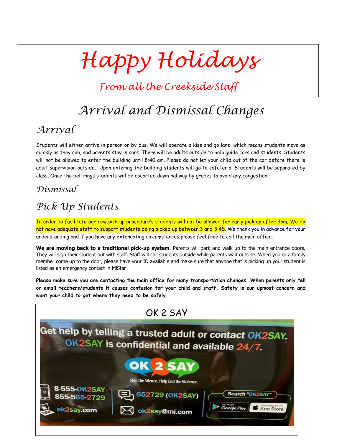# *Happy Holidays*

*From all the Creekside Staff*

# *Arrival and Dismissal Changes*

### *Arrival*

Students will either arrive in person or by bus. We will operate a kiss and go lane, which means students move as quickly as they can, and parents stay in cars. There will be adults outside to help guide cars and students. Students will not be allowed to enter the building until 8:40 am. Please do not let your child out of the car before there is adult supervision outside. Upon entering the building students will go to cafeteria. Students will be separated by class. Once the bell rings students will be escorted down hallway by grades to avoid any congestion.

### *Dismissal*

## *Pick Up Students*

In order to facilitate our new pick up procedure's students will not be allowed for early pick up after 3pm. We do not have adequate staff to support students being picked up between 3 and 3:45. We thank you in advance for your understanding and if you have any extenuating circumstances please feel free to call the main office.

**We are moving back to a traditional pick-up system**. Parents will park and walk up to the main entrance doors. They will sign their student out with staff. Staff will call students outside while parents wait outside. When you or a family member come up to the door, please have your ID available and make sure that anyone that is picking up your student is listed as an emergency contact in MiStar.

**Please make sure you are contacting the main office for many transportation changes. When parents only tell or email teachers/students it causes confusion for your child and staff. Safety is our upmost concern and want your child to get where they need to be safely.** 

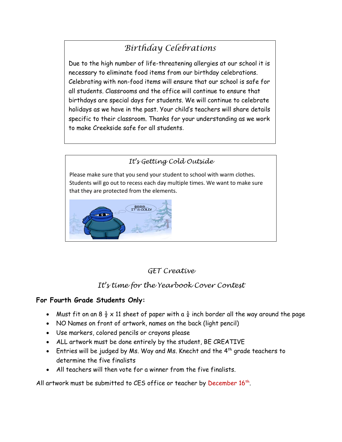# *Birthday Celebrations*

Due to the high number of life-threatening allergies at our school it is necessary to eliminate food items from our birthday celebrations. Celebrating with non-food items will ensure that our school is safe for all students. Classrooms and the office will continue to ensure that birthdays are special days for students. We will continue to celebrate holidays as we have in the past. Your child's teachers will share details specific to their classroom. Thanks for your understanding as we work to make Creekside safe for all students.

# *It's Getting Cold Outside* Please make sure that you send your student to school with warm clothes. Students will go out to recess each day multiple times. We want to make sure that they are protected from the elements.BRRR...<br>IT'S COLD!

### *GET Creative*

### *It's time for the Yearbook Cover Contest*

#### **For Fourth Grade Students Only:**

- Must fit on an 8  $\frac{1}{2}$  x 11 sheet of paper with a  $\frac{1}{4}$  inch border all the way around the page
- NO Names on front of artwork, names on the back (light pencil)
- Use markers, colored pencils or crayons please
- ALL artwork must be done entirely by the student, BE CREATIVE
- Entries will be judged by Ms. Way and Ms. Knecht and the 4<sup>th</sup> grade teachers to determine the five finalists
- All teachers will then vote for a winner from the five finalists.

All artwork must be submitted to CES office or teacher by December  $16<sup>th</sup>$ .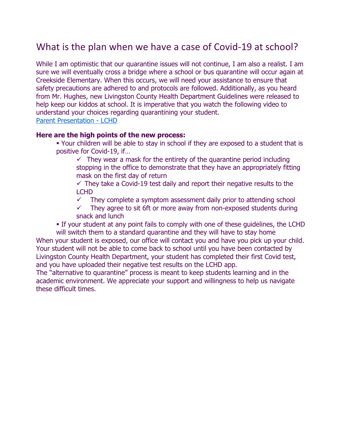### What is the plan when we have a case of Covid-19 at school?

While I am optimistic that our quarantine issues will not continue, I am also a realist. I am sure we will eventually cross a bridge where a school or bus quarantine will occur again at Creekside Elementary. When this occurs, we will need your assistance to ensure that safety precautions are adhered to and protocols are followed. Additionally, as you heard from Mr. Hughes, new Livingston County Health Department Guidelines were released to help keep our kiddos at school. It is imperative that you watch the following video to understand your choices regarding quarantining your student. [Parent Presentation -](https://www.youtube.com/watch?v=XHlB4_uGVM4) LCHD

#### **Here are the high points of the new process:**

 Your children will be able to stay in school if they are exposed to a student that is positive for Covid-19, if…

 $\checkmark$  They wear a mask for the entirety of the quarantine period including stopping in the office to demonstrate that they have an appropriately fitting mask on the first day of return

 $\checkmark$  They take a Covid-19 test daily and report their negative results to the LCHD

 $\checkmark$  They complete a symptom assessment daily prior to attending school

 $\checkmark$  They agree to sit 6ft or more away from non-exposed students during snack and lunch

 If your student at any point fails to comply with one of these guidelines, the LCHD will switch them to a standard quarantine and they will have to stay home

When your student is exposed, our office will contact you and have you pick up your child. Your student will not be able to come back to school until you have been contacted by Livingston County Health Department, your student has completed their first Covid test, and you have uploaded their negative test results on the LCHD app.

The "alternative to quarantine" process is meant to keep students learning and in the academic environment. We appreciate your support and willingness to help us navigate these difficult times.